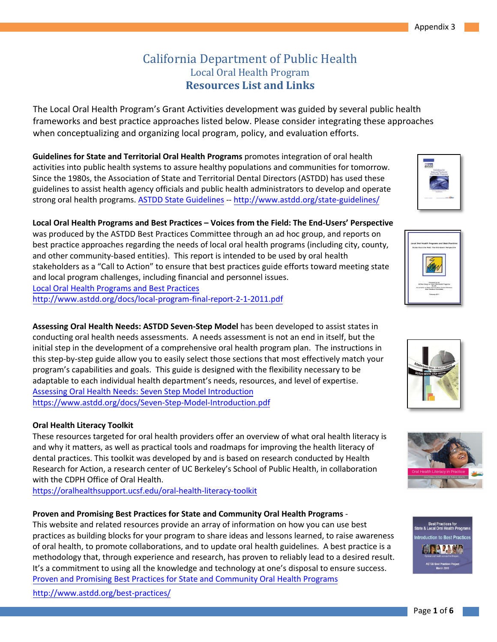# California Department of Public Health Local Oral Health Program **Resources List and Links**

The Local Oral Health Program's Grant Activities development was guided by several public health frameworks and best practice approaches listed below. Please consider integrating these approaches when conceptualizing and organizing local program, policy, and evaluation efforts.

**Guidelines for State and Territorial Oral Health Programs** promotes integration of oral health activities into public health systems to assure healthy populations and communities for tomorrow. Since the 1980s, the Association of State and Territorial Dental Directors (ASTDD) has used these guidelines to assist health agency officials and public health administrators to develop and operate strong oral health programs. ASTDD State [Guidelines](http://www.astdd.org/state-guidelines/) -- <http://www.astdd.org/state-guidelines/>

## **Local Oral Health Programs and Best Practices – Voices from the Field: The End-Users' Perspective**

was produced by the ASTDD Best Practices Committee through an ad hoc group, and reports on best practice approaches regarding the needs of local oral health programs (including city, county, and other community-based entities). This report is intended to be used by oral health stakeholders as a "Call to Action" to ensure that best practices guide efforts toward meeting state and local program challenges, including financial and personnel issues. Local Oral Health Programs and Best Practices http://www.astdd.org/docs/local-program-final-report-2-1-2011.pdf

**Assessing Oral Health Needs: ASTDD Seven-Step Model** has been developed to assist states in conducting oral health needs assessments. A needs assessment is not an end in itself, but the initial step in the development of a comprehensive oral health program plan. The instructions in this step-by-step guide allow you to easily select those sections that most effectively match your program's capabilities and goals. This guide is designed with the flexibility necessary to be adaptable to each individual health department's needs, resources, and level of expertise. Assessing Oral Health Needs: Seven Step Model Introduction <https://www.astdd.org/docs/Seven-Step-Model-Introduction.pdf>

## **Oral Health Literacy Toolkit**

These resources targeted for oral health providers offer an overview of what oral health literacy is and why it matters, as well as practical tools and roadmaps for improving the health literacy of dental practices. This toolkit was developed by and is based on research conducted by Health Research for Action, a research center of UC Berkeley's School of Public Health, in collaboration with the CDPH Office of Oral Health.

https://oralhealthsupport.ucsf.edu/oral-health-literacy-toolkit

## **Proven and Promising Best Practices for State and Community Oral Health Programs** -

This website and related resources provide an array of information on how you can use best practices as building blocks for your program to share ideas and lessons learned, to raise awareness of oral health, to promote collaborations, and to update oral health guidelines. A best practice is a methodology that, through experience and research, has proven to reliably lead to a desired result. It's a commitment to using all the knowledge and technology at one's disposal to ensure success. Proven and Promising Best Practices for State and Community Oral Health Programs

http://www.astdd.org/best-practices/









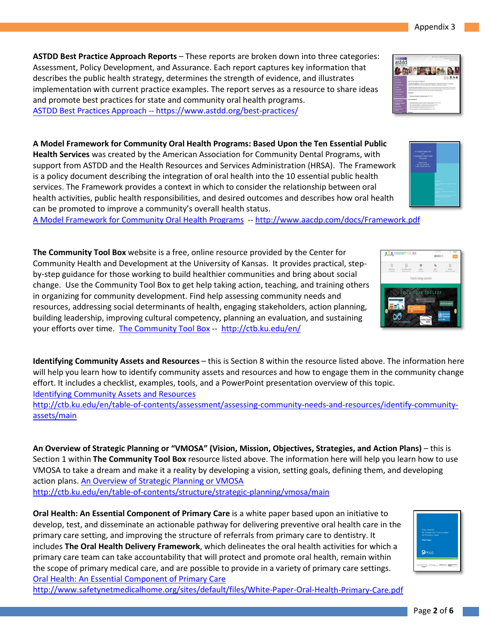Page **2** of **6**

Appendix 3

**ASTDD Best Practice Approach Reports** – These reports are broken down into three categories: Assessment, Policy Development, and Assurance. Each report captures key information that describes the public health strategy, determines the strength of evidence, and illustrates implementation with current practice examples. The report serves as a resource to share ideas and promote best practices for state and community oral health programs. [ASTDD Best Practices Approa](http://www.astdd.org/best-practices/)ch -[- https://www.astdd.org/best-practices/](http://www.astdd.org/best-practice-approach-reports/)

**A Model Framework for Community Oral Health Programs: Based Upon the Ten Essential Public Health Services** was created by the American Association for Community Dental Programs, with support from ASTDD and the Health Resources and Services Administration (HRSA). The Framework is a policy document describing the integration of oral health into the 10 essential public health services. The Framework provides a context in which to consider the relationship between oral health activities, public health responsibilities, and desired outcomes and describes how oral health can be promoted to improve a community's overall health status.

[A Model Framework for Community Oral Health Programs](http://www.aacdp.com/docs/Framework.pdf) -- http://www.aacdp.com/docs/Framework.pdf

your efforts over time. <u>The Community Tool Box</u> -- <u><http://ctb.ku.edu/en/></u> **The Community Tool Box** website is a free, online resource provided by the Center for Community Health and Development at the University of Kansas. It provides practical, stepby-step guidance for those working to build healthier communities and bring about social change. Use the Community Tool Box to get help taking action, teaching, and training others in organizing for community development. Find help assessing community needs and resources, addressing social determinants of health, engaging stakeholders, action planning, building leadership, improving cultural competency, planning an evaluation, and sustaining

**Identifying Community Assets and Resources** – this is Section 8 within the resource listed above. The information here will help you learn how to identify community assets and resources and how to engage them in the community change effort. It includes a checklist, examples, tools, and a PowerPoint presentation overview of this topic. [Identifying Community Assets and Resources](http://ctb.ku.edu/en/table-of-contents/assessment/assessing-community-needs-and-resources/identify-community-assets/main)

[http://ctb.ku.edu/en/table-of-contents/assessment/assessing-community-needs-and-resources/identify-community](http://ctb.ku.edu/en/table-of-contents/assessment/assessing-community-needs-and-resources/identify-community-assets/main)[assets/main](http://ctb.ku.edu/en/table-of-contents/assessment/assessing-community-needs-and-resources/identify-community-assets/main) 

action plans[. An Overview of Strategic Planning or VMOSA](http://ctb.ku.edu/en/table-of-contents/structure/strategic-planning/vmosa/main) **An Overview of Strategic Planning or "VMOSA" (Vision, Mission, Objectives, Strategies, and Action Plans)** – this is Section 1 within **The Community Tool Box** resource listed above. The information here will help you learn how to use VMOSA to take a dream and make it a reality by developing a vision, setting goals, defining them, and developing <http://ctb.ku.edu/en/table-of-contents/structure/strategic-planning/vmosa/main>

**Oral Health: An Essential Component of Primary Care** is a white paper based upon an initiative to develop, test, and disseminate an actionable pathway for delivering preventive oral health care in the primary care setting, and improving the structure of referrals from primary care to dentistry. It includes **The Oral Health Delivery Framework**, which delineates the oral health activities for which a primary care team can take accountability that will protect and promote oral health, remain within the scope of primary medical care, and are possible to provide in a variety of primary care settings. [Oral Health: An Essential Component of Primary Care](http://www.safetynetmedicalhome.org/sites/default/files/White-Paper-Oral-Health-Primary-Care.pdf)

<http://www.safetynetmedicalhome.org/sites/default/files/White-Paper-Oral-Health-Primary-Care.pdf>





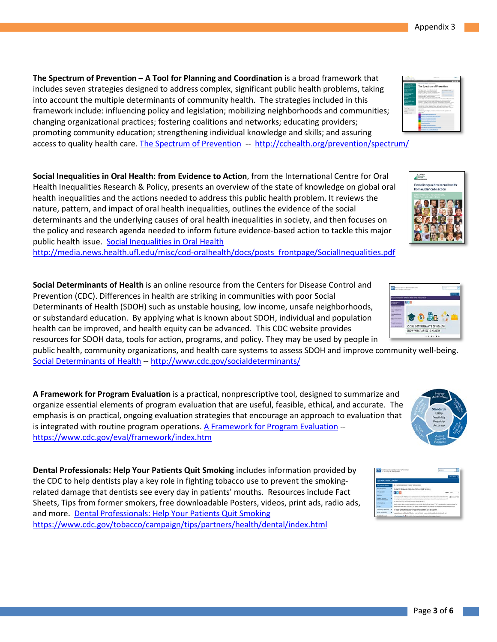access to quality health care. [The Spectrum of Prevention](http://cchealth.org/prevention/spectrum/) -- <http://cchealth.org/prevention/spectrum/> **The Spectrum of Prevention – A Tool for Planning and Coordination** is a broad framework that includes seven strategies designed to address complex, significant public health problems, taking into account the multiple determinants of community health. The strategies included in this framework include: influencing policy and legislation; mobilizing neighborhoods and communities; changing organizational practices; fostering coalitions and networks; educating providers; promoting community education; strengthening individual knowledge and skills; and assuring

**Social Inequalities in Oral Health: from Evidence to Action**, from the International Centre for Oral Health Inequalities Research & Policy, presents an overview of the state of knowledge on global oral health inequalities and the actions needed to address this public health problem. It reviews the nature, pattern, and impact of oral health inequalities, outlines the evidence of the social determinants and the underlying causes of oral health inequalities in society, and then focuses on the policy and research agenda needed to inform future evidence-based action to tackle this major public health issue. [Social Inequalities in Oral Health](http://media.news.health.ufl.edu/misc/cod-oralhealth/docs/posts_frontpage/SocialInequalities.pdf)

[http://media.news.health.ufl.edu/misc/cod-oralhealth/docs/posts\\_frontpage/SocialInequalities.pdf](http://media.news.health.ufl.edu/misc/cod-oralhealth/docs/posts_frontpage/SocialInequalities.pdf)

**Social Determinants of Health** is an online resource from the Centers for Disease Control and Prevention (CDC). Differences in health are striking in communities with poor Social Determinants of Health (SDOH) such as unstable housing, low income, unsafe neighborhoods, or substandard education. By applying what is known about SDOH, individual and population health can be improved, and health equity can be advanced. This CDC website provides resources for SDOH data, tools for action, programs, and policy. They may be used by people in

Social Determinants of Health -[-](http://www.cdc.gov/socialdeterminants/) http://www.cdc.gov/socialdeterminants/ public health, community organizations, and health care systems to assess SDOH and improve community well-being.

**A Framework for Program Evaluation** is a practical, nonprescriptive tool, designed to summarize and organize essential elements of program evaluation that are useful, feasible, ethical, and accurate. The emphasis is on practical, ongoing evaluation strategies that encourage an approach to evaluation that is integrated with routine program operations. [A Framework for Program Evaluation](https://www.cdc.gov/eval/framework/index.htm) - <https://www.cdc.gov/eval/framework/index.htm>

**Dental Professionals: Help Your Patients Quit Smoking** includes information provided by the CDC to help dentists play a key role in fighting tobacco use to prevent the smokingrelated damage that dentists see every day in patients' mouths. Resources include Fact Sheets, Tips from former smokers, free downloadable Posters, videos, print ads, radio ads, and more. [Dental Professionals: Help Your Patients Quit Smoking](https://www.cdc.gov/oralhealth/publications/features/dental-pros-help-your-patients-quit-tobacco.html) [https://www.cdc.gov/tobacco/campaign/tips/partners/health/dental/index.html](https://www.cdc.gov/oralhealth/publications/features/dental-pros-help-your-patients-quit-tobacco.html) 









ocial inequalities in oral healt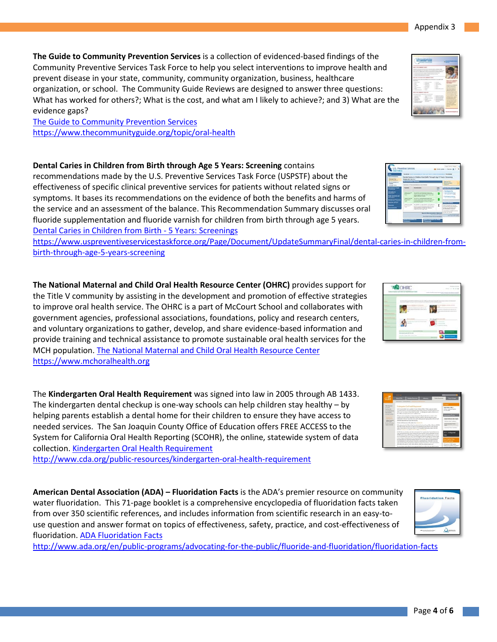**The Guide to Community Prevention Services** is a collection of evidenced-based findings of the Community Preventive Services Task Force to help you select interventions to improve health and prevent disease in your state, community, community organization, business, healthcare organization, or school. The Community Guide Reviews are designed to answer three questions: What has worked for others?; What is the cost, and what am I likely to achieve?; and 3) What are the evidence gaps?

[The Guide to Community Prevention Services](https://www.thecommunityguide.org/topic/oral-health) <https://www.thecommunityguide.org/topic/oral-health>

**Dental Caries in Children from Birth through Age 5 Years: Screening** contains recommendations made by the U.S. Preventive Services Task Force (USPSTF) about the effectiveness of specific clinical preventive services for patients without related signs or symptoms. It bases its recommendations on the evidence of both the benefits and harms of the service and an assessment of the balance. This Recommendation Summary discusses oral fluoride supplementation and fluoride varnish for children from birth through age 5 years. [Dental Caries in Children from Birth - 5 Years: Screenings](https://www.uspreventiveservicestaskforce.org/Page/Document/UpdateSummaryFinal/dental-caries-in-children-from-birth-through-age-5-years-screening)

 [birth-through-age-5-years-screening](https://www.uspreventiveservicestaskforce.org/Page/Document/UpdateSummaryFinal/dental-caries-in-children-from-birth-through-age-5-years-screening) [https://www.uspreventiveservicestaskforce.org/Page/Document/UpdateSummaryFinal/dental-caries-in-children-from-](https://www.uspreventiveservicestaskforce.org/Page/Document/UpdateSummaryFinal/dental-caries-in-children-from-birth-through-age-5-years-screening)

 [https://www.mchoralhealth.org](https://www.mchoralhealth.org/) **The National Maternal and Child Oral Health Resource Center (OHRC)** provides support for the Title V community by assisting in the development and promotion of effective strategies to improve oral health service. The OHRC is a part of McCourt School and collaborates with government agencies, professional associations, foundations, policy and research centers, and voluntary organizations to gather, develop, and share evidence-based information and provide training and technical assistance to promote sustainable oral health services for the MCH population. [The National Maternal and Child Oral Health Resource Center](https://www.mchoralhealth.org/)

The **Kindergarten Oral Health Requirement** was signed into law in 2005 through AB 1433. The kindergarten dental checkup is one-way schools can help children stay healthy – by helping parents establish a dental home for their children to ensure they have access to needed services. The San Joaquin County Office of Education offers FREE ACCESS to the System for California Oral Health Reporting (SCOHR), the online, statewide system of data collection. [Kindergarten Oral Health Requirement](http://www.cda.org/public-resources/kindergarten-oral-health-requirement)

<http://www.cda.org/public-resources/kindergarten-oral-health-requirement>

**American Dental Association (ADA) – Fluoridation Facts** is the ADA's premier resource on community water fluoridation. This 71-page booklet is a comprehensive encyclopedia of fluoridation facts taken from over 350 scientific references, and includes information from scientific research in an easy-touse question and answer format on topics of effectiveness, safety, practice, and cost-effectiveness of fluoridation. [ADA Fluoridation Facts](http://www.ada.org/en/public-programs/advocating-for-the-public/fluoride-and-fluoridation/fluoridation-facts)

<http://www.ada.org/en/public-programs/advocating-for-the-public/fluoride-and-fluoridation/fluoridation-facts>







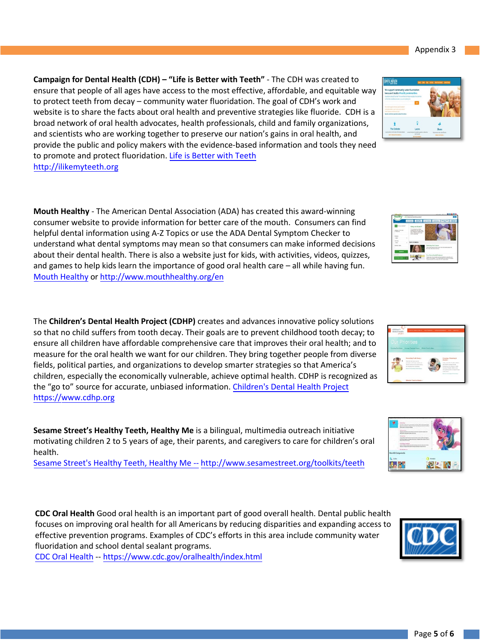Page **5** of **6**

**Campaign for Dental Health (CDH) – "Life is Better with Teeth"** - The CDH was created to ensure that people of all ages have access to the most effective, affordable, and equitable way to protect teeth from decay – community water fluoridation. The goal of CDH's work and website is to share the facts about oral health and preventive strategies like fluoride. CDH is a broad network of oral health advocates, health professionals, child and family organizations, and scientists who are working together to preserve our nation's gains in oral health, and provide [the public and p](http://ilikemyteeth.org/)olicy makers with the evidence-based information and tools they need to promote and protect fluoridation. [Life is Better with](http://ilikemyteeth.org/) Teeth http://ilikemyteeth.org

**Mouth Healthy** - The American Dental Association (ADA) has created this award-winning consumer website to provide information for better care of the mouth. Consumers can find [helpful dental in](http://www.mouthhealthy.org/en)formation using A-Z Topics or use the ADA Dental Symptom Checker to understand what dental symptoms may mean so that consumers can make informed decisions about their dental health. There is also a website just for kids, with activities, videos, quizzes, and games to help kids learn the importance of good oral health care – all while having fun. Mouth Healthy o[r http://www.mouthhealthy.org/en](http://www.mouthhealthy.org/en) 

The **Children's Dental Health Project (CDHP)** creates and advances innovative policy solutions so that no child suffers from tooth decay. Their goals are to prevent childhood tooth decay; to ensure all children have affordable comprehensive care that improves their oral health; and to measure for the oral health we want for our children. They bring together people from diverse fields, political parties, and organizations to develop smarter strategies so that America's children, especially the economically vulnerable, achieve optimal health. CDHP is recognized as the "go to" source for accurate, unbiased information. [Children's Dental Health Project](https://www.cdhp.org/) https://www.cdhp.org

**Sesame Street's Healthy Teeth, Healthy Me** is a bilingual, multimedia outreach initiative motivating children 2 to 5 years of age, their parents, and caregivers to care for children's oral health.

Sesame Street's Healthy Teeth, Healthy Me -- [http://www.sesamestreet.org/toolkits/teeth](https://prod.drupal.aws.sesamestreet.org/sites/default/files/media_folders/Media%20Root/HTHM_eng_kit_1.pdf?_ga=2.111078469.1784194047.1631829737-409952080.1631829737)

**CDC Oral Health** Good oral health is an important part of good overall health. Dental public health focuses on improving oral health for all Americans by reducing disparities and expanding access to effective prevention programs. Examples of CDC's efforts in this area include community water fluoridation and school dental sealant programs.

CDC Oral Health -- https://www.cdc.gov/oralhealth/index.html

Appendix 3